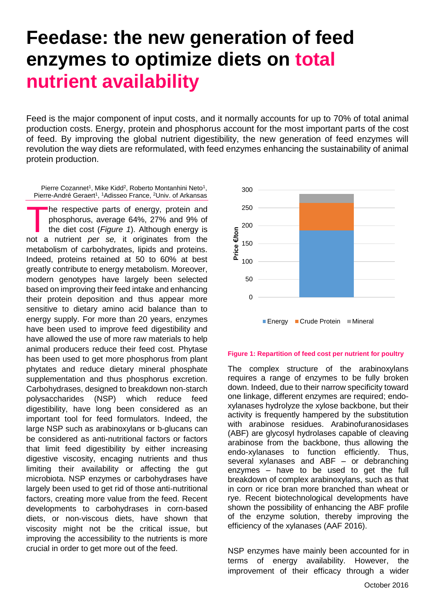## **Feedase: the new generation of feed enzymes to optimize diets on total nutrient availability**

Feed is the major component of input costs, and it normally accounts for up to 70% of total animal production costs. Energy, protein and phosphorus account for the most important parts of the cost of feed. By improving the global nutrient digestibility, the new generation of feed enzymes will revolution the way diets are reformulated, with feed enzymes enhancing the sustainability of animal protein production.

Pierre Cozannet<sup>1</sup>, Mike Kidd<sup>2</sup>, Roberto Montanhini Neto<sup>1</sup>, Pierre-André Geraert<sup>1</sup>, <sup>1</sup>Adisseo France, <sup>2</sup>Univ. of Arkansas

he respective parts of energy, protein and phosphorus, average 64%, 27% and 9% of the diet cost (*Figure 1*). Although energy is The respective parts of energy, protein and phosphorus, average 64%, 27% and 9% of the diet cost (*Figure 1*). Although energy is not a nutrient *per* se, it originates from the metabolism of carbohydrates, lipids and proteins. Indeed, proteins retained at 50 to 60% at best greatly contribute to energy metabolism. Moreover, modern genotypes have largely been selected based on improving their feed intake and enhancing their protein deposition and thus appear more sensitive to dietary amino acid balance than to energy supply. For more than 20 years, enzymes have been used to improve feed digestibility and have allowed the use of more raw materials to help animal producers reduce their feed cost. Phytase has been used to get more phosphorus from plant phytates and reduce dietary mineral phosphate supplementation and thus phosphorus excretion. Carbohydrases, designed to breakdown non-starch polysaccharides (NSP) which reduce feed digestibility, have long been considered as an important tool for feed formulators. Indeed, the large NSP such as arabinoxylans or b-glucans can be considered as anti-nutritional factors or factors that limit feed digestibility by either increasing digestive viscosity, encaging nutrients and thus limiting their availability or affecting the gut microbiota. NSP enzymes or carbohydrases have largely been used to get rid of those anti-nutritional factors, creating more value from the feed. Recent developments to carbohydrases in corn-based diets, or non-viscous diets, have shown that viscosity might not be the critical issue, but improving the accessibility to the nutrients is more crucial in order to get more out of the feed.



## **Figure 1: Repartition of feed cost per nutrient for poultry**

The complex structure of the arabinoxylans requires a range of enzymes to be fully broken down. Indeed, due to their narrow specificity toward one linkage, different enzymes are required; endoxylanases hydrolyze the xylose backbone, but their activity is frequently hampered by the substitution with arabinose residues. Arabinofuranosidases (ABF) are glycosyl hydrolases capable of cleaving arabinose from the backbone, thus allowing the endo-xylanases to function efficiently. Thus, several xylanases and ABF – or debranching enzymes – have to be used to get the full breakdown of complex arabinoxylans, such as that in corn or rice bran more branched than wheat or rye. Recent biotechnological developments have shown the possibility of enhancing the ABF profile of the enzyme solution, thereby improving the efficiency of the xylanases (AAF 2016).

NSP enzymes have mainly been accounted for in terms of energy availability. However, the improvement of their efficacy through a wider